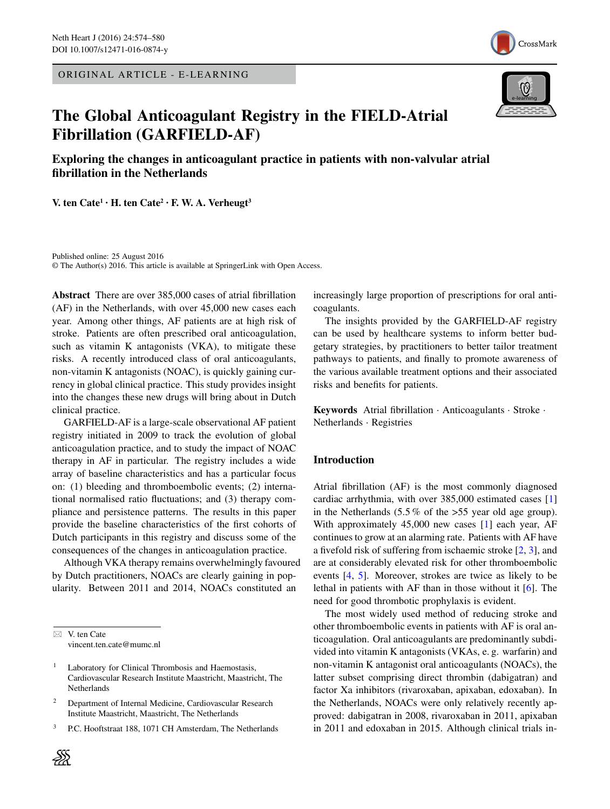ORIGINAL ARTICLE - E-LEARNING





# **The Global Anticoagulant Registry in the FIELD-Atrial Fibrillation (GARFIELD-AF)**

**Exploring the changes in anticoagulant practice in patients with non-valvular atrial fibrillation in the Netherlands**

**V. ten Cate1 · H. ten Cate2 · F. W. A. Verheugt3**

Published online: 25 August 2016 © The Author(s) 2016. This article is available at SpringerLink with Open Access.

**Abstract** There are over 385,000 cases of atrial fibrillation (AF) in the Netherlands, with over 45,000 new cases each year. Among other things, AF patients are at high risk of stroke. Patients are often prescribed oral anticoagulation, such as vitamin K antagonists (VKA), to mitigate these risks. A recently introduced class of oral anticoagulants, non-vitamin K antagonists (NOAC), is quickly gaining currency in global clinical practice. This study provides insight into the changes these new drugs will bring about in Dutch clinical practice.

GARFIELD-AF is a large-scale observational AF patient registry initiated in 2009 to track the evolution of global anticoagulation practice, and to study the impact of NOAC therapy in AF in particular. The registry includes a wide array of baseline characteristics and has a particular focus on: (1) bleeding and thromboembolic events; (2) international normalised ratio fluctuations; and (3) therapy compliance and persistence patterns. The results in this paper provide the baseline characteristics of the first cohorts of Dutch participants in this registry and discuss some of the consequences of the changes in anticoagulation practice.

Although VKA therapy remains overwhelmingly favoured by Dutch practitioners, NOACs are clearly gaining in popularity. Between 2011 and 2014, NOACs constituted an

 $\boxtimes$  V. ten Cate vincent.ten.cate@mumc.nl

- <sup>2</sup> Department of Internal Medicine, Cardiovascular Research Institute Maastricht, Maastricht, The Netherlands
- <sup>3</sup> P.C. Hooftstraat 188, 1071 CH Amsterdam, The Netherlands



increasingly large proportion of prescriptions for oral anticoagulants.

The insights provided by the GARFIELD-AF registry can be used by healthcare systems to inform better budgetary strategies, by practitioners to better tailor treatment pathways to patients, and finally to promote awareness of the various available treatment options and their associated risks and benefits for patients.

**Keywords** Atrial fibrillation · Anticoagulants · Stroke · Netherlands · Registries

## **Introduction**

Atrial fibrillation (AF) is the most commonly diagnosed cardiac arrhythmia, with over 385,000 estimated cases [\[1\]](#page-5-0) in the Netherlands (5.5 % of the >55 year old age group). With approximately 45,000 new cases [\[1\]](#page-5-0) each year, AF continues to grow at an alarming rate. Patients with AF have a fivefold risk of suffering from ischaemic stroke [\[2,](#page-5-1) [3\]](#page-5-2), and are at considerably elevated risk for other thromboembolic events [\[4,](#page-5-3) [5\]](#page-5-4). Moreover, strokes are twice as likely to be lethal in patients with AF than in those without it [\[6\]](#page-5-5). The need for good thrombotic prophylaxis is evident.

The most widely used method of reducing stroke and other thromboembolic events in patients with AF is oral anticoagulation. Oral anticoagulants are predominantly subdivided into vitamin K antagonists (VKAs, e. g. warfarin) and non-vitamin K antagonist oral anticoagulants (NOACs), the latter subset comprising direct thrombin (dabigatran) and factor Xa inhibitors (rivaroxaban, apixaban, edoxaban). In the Netherlands, NOACs were only relatively recently approved: dabigatran in 2008, rivaroxaban in 2011, apixaban in 2011 and edoxaban in 2015. Although clinical trials in-

Laboratory for Clinical Thrombosis and Haemostasis, Cardiovascular Research Institute Maastricht, Maastricht, The Netherlands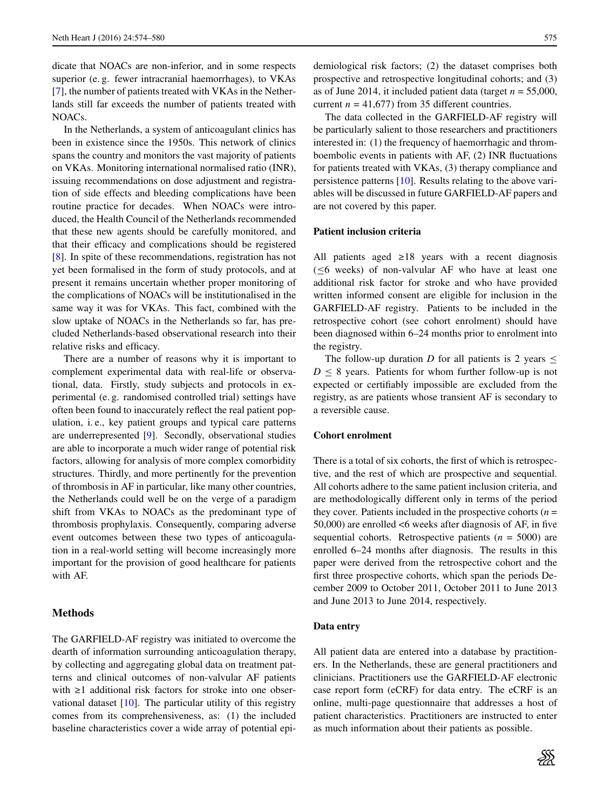dicate that NOACs are non-inferior, and in some respects superior (e. g. fewer intracranial haemorrhages), to VKAs [\[7\]](#page-5-6), the number of patients treated with VKAs in the Netherlands still far exceeds the number of patients treated with NOACs.

In the Netherlands, a system of anticoagulant clinics has been in existence since the 1950s. This network of clinics spans the country and monitors the vast majority of patients on VKAs. Monitoring international normalised ratio (INR), issuing recommendations on dose adjustment and registration of side effects and bleeding complications have been routine practice for decades. When NOACs were introduced, the Health Council of the Netherlands recommended that these new agents should be carefully monitored, and that their efficacy and complications should be registered [\[8\]](#page-5-7). In spite of these recommendations, registration has not yet been formalised in the form of study protocols, and at present it remains uncertain whether proper monitoring of the complications of NOACs will be institutionalised in the same way it was for VKAs. This fact, combined with the slow uptake of NOACs in the Netherlands so far, has precluded Netherlands-based observational research into their relative risks and efficacy.

There are a number of reasons why it is important to complement experimental data with real-life or observational, data. Firstly, study subjects and protocols in experimental (e. g. randomised controlled trial) settings have often been found to inaccurately reflect the real patient population, i. e., key patient groups and typical care patterns are underrepresented [\[9\]](#page-5-8). Secondly, observational studies are able to incorporate a much wider range of potential risk factors, allowing for analysis of more complex comorbidity structures. Thirdly, and more pertinently for the prevention of thrombosis in AF in particular, like many other countries, the Netherlands could well be on the verge of a paradigm shift from VKAs to NOACs as the predominant type of thrombosis prophylaxis. Consequently, comparing adverse event outcomes between these two types of anticoagulation in a real-world setting will become increasingly more important for the provision of good healthcare for patients with AF.

## **Methods**

The GARFIELD-AF registry was initiated to overcome the dearth of information surrounding anticoagulation therapy, by collecting and aggregating global data on treatment patterns and clinical outcomes of non-valvular AF patients with ≥1 additional risk factors for stroke into one observational dataset [\[10\]](#page-5-9). The particular utility of this registry comes from its comprehensiveness, as: (1) the included baseline characteristics cover a wide array of potential epidemiological risk factors; (2) the dataset comprises both prospective and retrospective longitudinal cohorts; and (3) as of June 2014, it included patient data (target  $n = 55,000$ , current  $n = 41,677$  from 35 different countries.

The data collected in the GARFIELD-AF registry will be particularly salient to those researchers and practitioners interested in: (1) the frequency of haemorrhagic and thromboembolic events in patients with AF, (2) INR fluctuations for patients treated with VKAs, (3) therapy compliance and persistence patterns [\[10\]](#page-5-9). Results relating to the above variables will be discussed in future GARFIELD-AF papers and are not covered by this paper.

## **Patient inclusion criteria**

All patients aged  $\geq 18$  years with a recent diagnosis  $(\leq 6$  weeks) of non-valvular AF who have at least one additional risk factor for stroke and who have provided written informed consent are eligible for inclusion in the GARFIELD-AF registry. Patients to be included in the retrospective cohort (see cohort enrolment) should have been diagnosed within 6–24 months prior to enrolment into the registry.

The follow-up duration *D* for all patients is 2 years  $\leq$  $D \leq 8$  years. Patients for whom further follow-up is not expected or certifiably impossible are excluded from the registry, as are patients whose transient AF is secondary to a reversible cause.

## **Cohort enrolment**

There is a total of six cohorts, the first of which is retrospective, and the rest of which are prospective and sequential. All cohorts adhere to the same patient inclusion criteria, and are methodologically different only in terms of the period they cover. Patients included in the prospective cohorts  $(n =$ 50,000) are enrolled <6 weeks after diagnosis of AF, in five sequential cohorts. Retrospective patients (*n* = 5000) are enrolled 6–24 months after diagnosis. The results in this paper were derived from the retrospective cohort and the first three prospective cohorts, which span the periods December 2009 to October 2011, October 2011 to June 2013 and June 2013 to June 2014, respectively.

## **Data entry**

All patient data are entered into a database by practitioners. In the Netherlands, these are general practitioners and clinicians. Practitioners use the GARFIELD-AF electronic case report form (eCRF) for data entry. The eCRF is an online, multi-page questionnaire that addresses a host of patient characteristics. Practitioners are instructed to enter as much information about their patients as possible.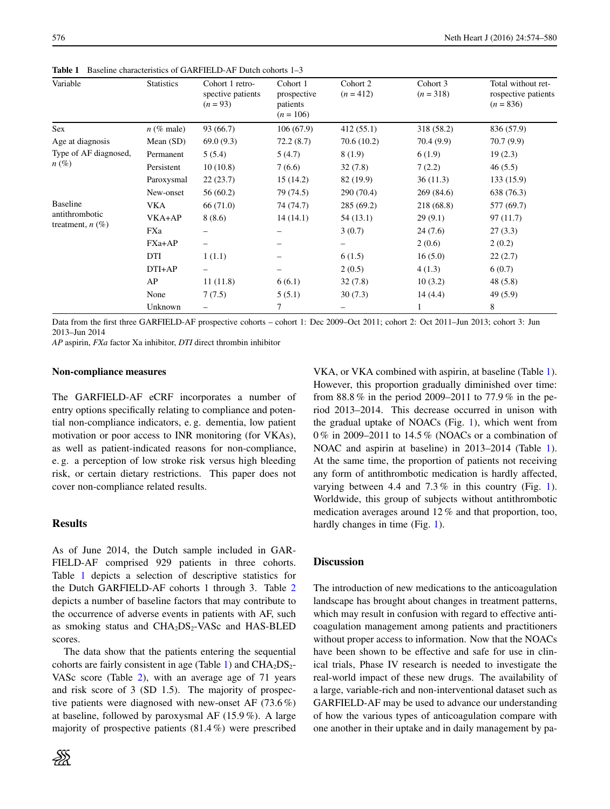| Variable                                                | <b>Statistics</b> | Cohort 1 retro-<br>spective patients<br>$(n = 93)$ | Cohort 1<br>prospective<br>patients<br>$(n = 106)$ | Cohort 2<br>$(n = 412)$ | Cohort 3<br>$(n = 318)$ | Total without ret-<br>rospective patients<br>$(n = 836)$ |
|---------------------------------------------------------|-------------------|----------------------------------------------------|----------------------------------------------------|-------------------------|-------------------------|----------------------------------------------------------|
| Sex                                                     | $n \ (\%$ male)   | 93 (66.7)                                          | 106(67.9)                                          | 412(55.1)               | 318 (58.2)              | 836 (57.9)                                               |
| Age at diagnosis                                        | Mean $(SD)$       | 69.0(9.3)                                          | 72.2(8.7)                                          | 70.6 (10.2)             | 70.4 (9.9)              | 70.7(9.9)                                                |
| Type of AF diagnosed,<br>$n\left(\%\right)$             | Permanent         | 5(5.4)                                             | 5(4.7)                                             | 8(1.9)                  | 6(1.9)                  | 19(2.3)                                                  |
|                                                         | Persistent        | 10(10.8)                                           | 7(6.6)                                             | 32(7.8)                 | 7(2.2)                  | 46(5.5)                                                  |
|                                                         | Paroxysmal        | 22(23.7)                                           | 15(14.2)                                           | 82 (19.9)               | 36(11.3)                | 133(15.9)                                                |
|                                                         | New-onset         | 56 (60.2)                                          | 79 (74.5)                                          | 290 (70.4)              | 269(84.6)               | 638 (76.3)                                               |
| <b>Baseline</b><br>antithrombotic<br>treatment, $n(\%)$ | VKA               | 66 (71.0)                                          | 74 (74.7)                                          | 285(69.2)               | 218 (68.8)              | 577 (69.7)                                               |
|                                                         | VKA+AP            | 8(8.6)                                             | 14(14.1)                                           | 54 (13.1)               | 29(9.1)                 | 97(11.7)                                                 |
|                                                         | FXa               |                                                    |                                                    | 3(0.7)                  | 24(7.6)                 | 27(3.3)                                                  |
|                                                         | $FXa+AP$          |                                                    |                                                    |                         | 2(0.6)                  | 2(0.2)                                                   |
|                                                         | DTI               | 1(1.1)                                             |                                                    | 6(1.5)                  | 16(5.0)                 | 22(2.7)                                                  |
|                                                         | DTI+AP            |                                                    |                                                    | 2(0.5)                  | 4(1.3)                  | 6(0.7)                                                   |
|                                                         | AP                | 11(11.8)                                           | 6(6.1)                                             | 32(7.8)                 | 10(3.2)                 | 48 (5.8)                                                 |
|                                                         | None              | 7(7.5)                                             | 5(5.1)                                             | 30(7.3)                 | 14(4.4)                 | 49 (5.9)                                                 |
|                                                         | Unknown           |                                                    | 7                                                  |                         | 1                       | 8                                                        |

<span id="page-2-0"></span>**Table 1** Baseline characteristics of GARFIELD-AF Dutch cohorts 1–3

Data from the first three GARFIELD-AF prospective cohorts – cohort 1: Dec 2009–Oct 2011; cohort 2: Oct 2011–Jun 2013; cohort 3: Jun 2013–Jun 2014

*AP* aspirin, *FXa* factor Xa inhibitor, *DTI* direct thrombin inhibitor

#### **Non-compliance measures**

The GARFIELD-AF eCRF incorporates a number of entry options specifically relating to compliance and potential non-compliance indicators, e. g. dementia, low patient motivation or poor access to INR monitoring (for VKAs), as well as patient-indicated reasons for non-compliance, e. g. a perception of low stroke risk versus high bleeding risk, or certain dietary restrictions. This paper does not cover non-compliance related results.

# **Results**

As of June 2014, the Dutch sample included in GAR-FIELD-AF comprised 929 patients in three cohorts. Table [1](#page-2-0) depicts a selection of descriptive statistics for the Dutch GARFIELD-AF cohorts 1 through 3. Table [2](#page-3-0) depicts a number of baseline factors that may contribute to the occurrence of adverse events in patients with AF, such as smoking status and  $CHA<sub>2</sub>DS<sub>2</sub>$ -VASc and HAS-BLED scores.

The data show that the patients entering the sequential cohorts are fairly consistent in age (Table [1\)](#page-2-0) and  $CHA<sub>2</sub>DS<sub>2</sub>$ -VASc score (Table [2\)](#page-3-0), with an average age of 71 years and risk score of 3 (SD 1.5). The majority of prospective patients were diagnosed with new-onset AF (73.6 %) at baseline, followed by paroxysmal AF (15.9 %). A large majority of prospective patients (81.4 %) were prescribed VKA, or VKA combined with aspirin, at baseline (Table [1\)](#page-2-0). However, this proportion gradually diminished over time: from 88.8 % in the period 2009–2011 to 77.9 % in the period 2013–2014. This decrease occurred in unison with the gradual uptake of NOACs (Fig. [1\)](#page-4-0), which went from 0 % in 2009–2011 to 14.5 % (NOACs or a combination of NOAC and aspirin at baseline) in 2013–2014 (Table [1\)](#page-2-0). At the same time, the proportion of patients not receiving any form of antithrombotic medication is hardly affected, varying between 4.4 and 7.3 % in this country (Fig. [1\)](#page-4-0). Worldwide, this group of subjects without antithrombotic medication averages around 12 % and that proportion, too, hardly changes in time (Fig. [1\)](#page-4-0).

## **Discussion**

The introduction of new medications to the anticoagulation landscape has brought about changes in treatment patterns, which may result in confusion with regard to effective anticoagulation management among patients and practitioners without proper access to information. Now that the NOACs have been shown to be effective and safe for use in clinical trials, Phase IV research is needed to investigate the real-world impact of these new drugs. The availability of a large, variable-rich and non-interventional dataset such as GARFIELD-AF may be used to advance our understanding of how the various types of anticoagulation compare with one another in their uptake and in daily management by pa-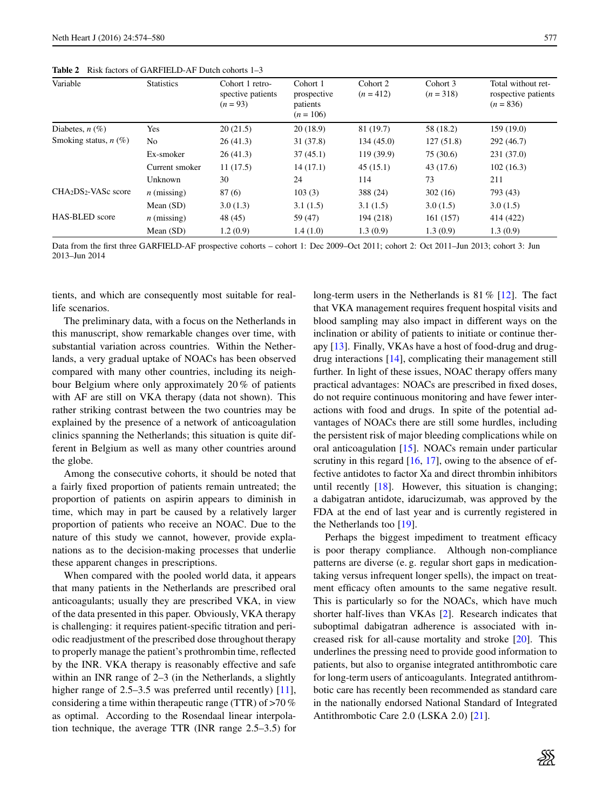<span id="page-3-0"></span>**Table 2** Risk factors of GARFIELD-AF Dutch cohorts 1–3

| Variable                | <b>Statistics</b> | Cohort 1 retro-<br>spective patients<br>$(n = 93)$ | Cohort 1<br>prospective<br>patients<br>$(n = 106)$ | Cohort 2<br>$(n = 412)$ | Cohort 3<br>$(n = 318)$ | Total without ret-<br>rospective patients<br>$(n = 836)$ |
|-------------------------|-------------------|----------------------------------------------------|----------------------------------------------------|-------------------------|-------------------------|----------------------------------------------------------|
| Diabetes, $n(\%)$       | Yes               | 20(21.5)                                           | 20(18.9)                                           | 81 (19.7)               | 58 (18.2)               | 159(19.0)                                                |
| Smoking status, $n(\%)$ | N <sub>0</sub>    | 26(41.3)                                           | 31(37.8)                                           | 134 (45.0)              | 127(51.8)               | 292 (46.7)                                               |
|                         | Ex-smoker         | 26(41.3)                                           | 37(45.1)                                           | 119(39.9)               | 75 (30.6)               | 231 (37.0)                                               |
|                         | Current smoker    | 11(17.5)                                           | 14(17.1)                                           | 45(15.1)                | 43 (17.6)               | 102(16.3)                                                |
|                         | Unknown           | 30                                                 | 24                                                 | 114                     | 73                      | 211                                                      |
| $CHA2DS2 - VASc score$  | $n$ (missing)     | 87(6)                                              | 103(3)                                             | 388 (24)                | 302(16)                 | 793 (43)                                                 |
|                         | Mean $(SD)$       | 3.0(1.3)                                           | 3.1(1.5)                                           | 3.1(1.5)                | 3.0(1.5)                | 3.0(1.5)                                                 |
| <b>HAS-BLED</b> score   | $n$ (missing)     | 48 (45)                                            | 59 (47)                                            | 194 (218)               | 161 (157)               | 414 (422)                                                |
|                         | Mean $(SD)$       | 1.2(0.9)                                           | 1.4(1.0)                                           | 1.3(0.9)                | 1.3(0.9)                | 1.3(0.9)                                                 |

Data from the first three GARFIELD-AF prospective cohorts – cohort 1: Dec 2009–Oct 2011; cohort 2: Oct 2011–Jun 2013; cohort 3: Jun 2013–Jun 2014

tients, and which are consequently most suitable for reallife scenarios.

The preliminary data, with a focus on the Netherlands in this manuscript, show remarkable changes over time, with substantial variation across countries. Within the Netherlands, a very gradual uptake of NOACs has been observed compared with many other countries, including its neighbour Belgium where only approximately 20 % of patients with AF are still on VKA therapy (data not shown). This rather striking contrast between the two countries may be explained by the presence of a network of anticoagulation clinics spanning the Netherlands; this situation is quite different in Belgium as well as many other countries around the globe.

Among the consecutive cohorts, it should be noted that a fairly fixed proportion of patients remain untreated; the proportion of patients on aspirin appears to diminish in time, which may in part be caused by a relatively larger proportion of patients who receive an NOAC. Due to the nature of this study we cannot, however, provide explanations as to the decision-making processes that underlie these apparent changes in prescriptions.

When compared with the pooled world data, it appears that many patients in the Netherlands are prescribed oral anticoagulants; usually they are prescribed VKA, in view of the data presented in this paper. Obviously, VKA therapy is challenging: it requires patient-specific titration and periodic readjustment of the prescribed dose throughout therapy to properly manage the patient's prothrombin time, reflected by the INR. VKA therapy is reasonably effective and safe within an INR range of 2–3 (in the Netherlands, a slightly higher range of 2.5–3.5 was preferred until recently) [\[11\]](#page-5-10), considering a time within therapeutic range (TTR) of >70 % as optimal. According to the Rosendaal linear interpolation technique, the average TTR (INR range 2.5–3.5) for long-term users in the Netherlands is 81 % [\[12\]](#page-5-11). The fact that VKA management requires frequent hospital visits and blood sampling may also impact in different ways on the inclination or ability of patients to initiate or continue therapy [\[13\]](#page-5-12). Finally, VKAs have a host of food-drug and drugdrug interactions [\[14\]](#page-5-13), complicating their management still further. In light of these issues, NOAC therapy offers many practical advantages: NOACs are prescribed in fixed doses, do not require continuous monitoring and have fewer interactions with food and drugs. In spite of the potential advantages of NOACs there are still some hurdles, including the persistent risk of major bleeding complications while on oral anticoagulation [\[15\]](#page-5-14). NOACs remain under particular scrutiny in this regard [\[16,](#page-5-15) [17\]](#page-5-16), owing to the absence of effective antidotes to factor Xa and direct thrombin inhibitors until recently [\[18\]](#page-5-17). However, this situation is changing; a dabigatran antidote, idarucizumab, was approved by the FDA at the end of last year and is currently registered in the Netherlands too [\[19\]](#page-5-18).

Perhaps the biggest impediment to treatment efficacy is poor therapy compliance. Although non-compliance patterns are diverse (e. g. regular short gaps in medicationtaking versus infrequent longer spells), the impact on treatment efficacy often amounts to the same negative result. This is particularly so for the NOACs, which have much shorter half-lives than VKAs [\[2\]](#page-5-1). Research indicates that suboptimal dabigatran adherence is associated with increased risk for all-cause mortality and stroke [\[20\]](#page-5-19). This underlines the pressing need to provide good information to patients, but also to organise integrated antithrombotic care for long-term users of anticoagulants. Integrated antithrombotic care has recently been recommended as standard care in the nationally endorsed National Standard of Integrated Antithrombotic Care 2.0 (LSKA 2.0) [\[21\]](#page-5-20).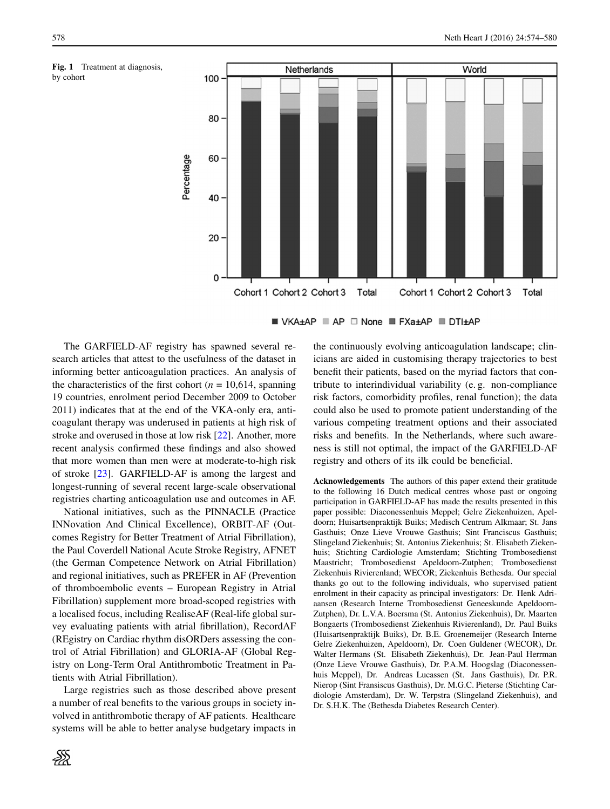<span id="page-4-0"></span>

by cohort



■ VKA±AP ■ AP □ None ■ FXa±AP ■ DTI±AP

The GARFIELD-AF registry has spawned several research articles that attest to the usefulness of the dataset in informing better anticoagulation practices. An analysis of the characteristics of the first cohort ( $n = 10,614$ , spanning 19 countries, enrolment period December 2009 to October 2011) indicates that at the end of the VKA-only era, anticoagulant therapy was underused in patients at high risk of stroke and overused in those at low risk [\[22\]](#page-5-21). Another, more recent analysis confirmed these findings and also showed that more women than men were at moderate-to-high risk of stroke [\[23\]](#page-5-22). GARFIELD-AF is among the largest and longest-running of several recent large-scale observational registries charting anticoagulation use and outcomes in AF.

National initiatives, such as the PINNACLE (Practice INNovation And Clinical Excellence), ORBIT-AF (Outcomes Registry for Better Treatment of Atrial Fibrillation), the Paul Coverdell National Acute Stroke Registry, AFNET (the German Competence Network on Atrial Fibrillation) and regional initiatives, such as PREFER in AF (Prevention of thromboembolic events – European Registry in Atrial Fibrillation) supplement more broad-scoped registries with a localised focus, including RealiseAF (Real-life global survey evaluating patients with atrial fibrillation), RecordAF (REgistry on Cardiac rhythm disORDers assessing the control of Atrial Fibrillation) and GLORIA-AF (Global Registry on Long-Term Oral Antithrombotic Treatment in Patients with Atrial Fibrillation).

Large registries such as those described above present a number of real benefits to the various groups in society involved in antithrombotic therapy of AF patients. Healthcare systems will be able to better analyse budgetary impacts in the continuously evolving anticoagulation landscape; clinicians are aided in customising therapy trajectories to best benefit their patients, based on the myriad factors that contribute to interindividual variability (e. g. non-compliance risk factors, comorbidity profiles, renal function); the data could also be used to promote patient understanding of the various competing treatment options and their associated risks and benefits. In the Netherlands, where such awareness is still not optimal, the impact of the GARFIELD-AF registry and others of its ilk could be beneficial.

**Acknowledgements** The authors of this paper extend their gratitude to the following 16 Dutch medical centres whose past or ongoing participation in GARFIELD-AF has made the results presented in this paper possible: Diaconessenhuis Meppel; Gelre Ziekenhuizen, Apeldoorn; Huisartsenpraktijk Buiks; Medisch Centrum Alkmaar; St. Jans Gasthuis; Onze Lieve Vrouwe Gasthuis; Sint Franciscus Gasthuis; Slingeland Ziekenhuis; St. Antonius Ziekenhuis; St. Elisabeth Ziekenhuis; Stichting Cardiologie Amsterdam; Stichting Trombosedienst Maastricht; Trombosedienst Apeldoorn-Zutphen; Trombosedienst Ziekenhuis Rivierenland; WECOR; Ziekenhuis Bethesda. Our special thanks go out to the following individuals, who supervised patient enrolment in their capacity as principal investigators: Dr. Henk Adriaansen (Research Interne Trombosedienst Geneeskunde Apeldoorn-Zutphen), Dr. L.V.A. Boersma (St. Antonius Ziekenhuis), Dr. Maarten Bongaerts (Trombosedienst Ziekenhuis Rivierenland), Dr. Paul Buiks (Huisartsenpraktijk Buiks), Dr. B.E. Groenemeijer (Research Interne Gelre Ziekenhuizen, Apeldoorn), Dr. Coen Guldener (WECOR), Dr. Walter Hermans (St. Elisabeth Ziekenhuis), Dr. Jean-Paul Herrman (Onze Lieve Vrouwe Gasthuis), Dr. P.A.M. Hoogslag (Diaconessenhuis Meppel), Dr. Andreas Lucassen (St. Jans Gasthuis), Dr. P.R. Nierop (Sint Fransiscus Gasthuis), Dr. M.G.C. Pieterse (Stichting Cardiologie Amsterdam), Dr. W. Terpstra (Slingeland Ziekenhuis), and Dr. S.H.K. The (Bethesda Diabetes Research Center).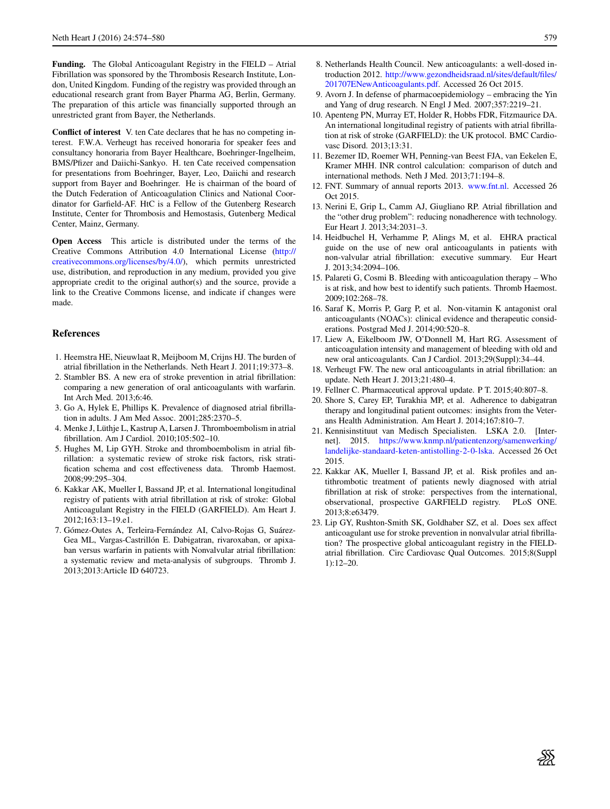**Funding.** The Global Anticoagulant Registry in the FIELD – Atrial Fibrillation was sponsored by the Thrombosis Research Institute, London, United Kingdom. Funding of the registry was provided through an educational research grant from Bayer Pharma AG, Berlin, Germany. The preparation of this article was financially supported through an unrestricted grant from Bayer, the Netherlands.

**Conflict of interest** V. ten Cate declares that he has no competing interest. F.W.A. Verheugt has received honoraria for speaker fees and consultancy honoraria from Bayer Healthcare, Boehringer-Ingelheim, BMS/Pfizer and Daiichi-Sankyo. H. ten Cate received compensation for presentations from Boehringer, Bayer, Leo, Daiichi and research support from Bayer and Boehringer. He is chairman of the board of the Dutch Federation of Anticoagulation Clinics and National Coordinator for Garfield-AF. HtC is a Fellow of the Gutenberg Research Institute, Center for Thrombosis and Hemostasis, Gutenberg Medical Center, Mainz, Germany.

**Open Access** This article is distributed under the terms of the Creative Commons Attribution 4.0 International License [\(http://](http://creativecommons.org/licenses/by/4.0/) [creativecommons.org/licenses/by/4.0/\)](http://creativecommons.org/licenses/by/4.0/), which permits unrestricted use, distribution, and reproduction in any medium, provided you give appropriate credit to the original author(s) and the source, provide a link to the Creative Commons license, and indicate if changes were made.

## <span id="page-5-0"></span>**References**

- <span id="page-5-1"></span>1. Heemstra HE, Nieuwlaat R, Meijboom M, Crijns HJ. The burden of atrial fibrillation in the Netherlands. Neth Heart J. 2011;19:373–8.
- 2. Stambler BS. A new era of stroke prevention in atrial fibrillation: comparing a new generation of oral anticoagulants with warfarin. Int Arch Med. 2013;6:46.
- <span id="page-5-3"></span><span id="page-5-2"></span>3. Go A, Hylek E, Phillips K. Prevalence of diagnosed atrial fibrillation in adults. J Am Med Assoc. 2001;285:2370–5.
- <span id="page-5-4"></span>4. Menke J, Lüthje L, Kastrup A, Larsen J. Thromboembolism in atrial fibrillation. Am J Cardiol. 2010;105:502–10.
- 5. Hughes M, Lip GYH. Stroke and thromboembolism in atrial fibrillation: a systematic review of stroke risk factors, risk stratification schema and cost effectiveness data. Thromb Haemost. 2008;99:295–304.
- <span id="page-5-5"></span>6. Kakkar AK, Mueller I, Bassand JP, et al. International longitudinal registry of patients with atrial fibrillation at risk of stroke: Global Anticoagulant Registry in the FIELD (GARFIELD). Am Heart J. 2012;163:13–19.e1.
- <span id="page-5-6"></span>7. Gómez-Outes A, Terleira-Fernández AI, Calvo-Rojas G, Suárez-Gea ML, Vargas-Castrillón E. Dabigatran, rivaroxaban, or apixaban versus warfarin in patients with Nonvalvular atrial fibrillation: a systematic review and meta-analysis of subgroups. Thromb J. 2013;2013:Article ID 640723.
- <span id="page-5-7"></span>8. Netherlands Health Council. New anticoagulants: a well-dosed introduction 2012. [http://www.gezondheidsraad.nl/sites/default/files/](http://www.gezondheidsraad.nl/sites/default/files/201707ENewAnticoagulants.pdf) [201707ENewAnticoagulants.pdf.](http://www.gezondheidsraad.nl/sites/default/files/201707ENewAnticoagulants.pdf) Accessed 26 Oct 2015.
- <span id="page-5-9"></span><span id="page-5-8"></span>9. Avorn J. In defense of pharmacoepidemiology – embracing the Yin and Yang of drug research. N Engl J Med. 2007;357:2219–21.
- 10. Apenteng PN, Murray ET, Holder R, Hobbs FDR, Fitzmaurice DA. An international longitudinal registry of patients with atrial fibrillation at risk of stroke (GARFIELD): the UK protocol. BMC Cardiovasc Disord. 2013;13:31.
- <span id="page-5-10"></span>11. Bezemer ID, Roemer WH, Penning-van Beest FJA, van Eekelen E, Kramer MHH. INR control calculation: comparison of dutch and international methods. Neth J Med. 2013;71:194–8.
- <span id="page-5-12"></span><span id="page-5-11"></span>12. FNT. Summary of annual reports 2013. [www.fnt.nl.](http://www.fnt.nl) Accessed 26 Oct 2015.
- 13. Nerini E, Grip L, Camm AJ, Giugliano RP. Atrial fibrillation and the "other drug problem": reducing nonadherence with technology. Eur Heart J. 2013;34:2031–3.
- <span id="page-5-13"></span>14. Heidbuchel H, Verhamme P, Alings M, et al. EHRA practical guide on the use of new oral anticoagulants in patients with non-valvular atrial fibrillation: executive summary. Eur Heart J. 2013;34:2094–106.
- <span id="page-5-14"></span>15. Palareti G, Cosmi B. Bleeding with anticoagulation therapy – Who is at risk, and how best to identify such patients. Thromb Haemost. 2009;102:268–78.
- <span id="page-5-15"></span>16. Saraf K, Morris P, Garg P, et al. Non-vitamin K antagonist oral anticoagulants (NOACs): clinical evidence and therapeutic considerations. Postgrad Med J. 2014;90:520–8.
- <span id="page-5-16"></span>17. Liew A, Eikelboom JW, O'Donnell M, Hart RG. Assessment of anticoagulation intensity and management of bleeding with old and new oral anticoagulants. Can J Cardiol. 2013;29(Suppl):34–44.
- <span id="page-5-18"></span><span id="page-5-17"></span>18. Verheugt FW. The new oral anticoagulants in atrial fibrillation: an update. Neth Heart J. 2013;21:480–4.
- <span id="page-5-19"></span>19. Fellner C. Pharmaceutical approval update. P T. 2015;40:807–8.
- 20. Shore S, Carey EP, Turakhia MP, et al. Adherence to dabigatran therapy and longitudinal patient outcomes: insights from the Veterans Health Administration. Am Heart J. 2014;167:810–7.
- <span id="page-5-20"></span>21. Kennisinstituut van Medisch Specialisten. LSKA 2.0. [Internet]. 2015. [https://www.knmp.nl/patientenzorg/samenwerking/](https://www.knmp.nl/patientenzorg/samenwerking/landelijke-standaard-keten-antistolling-2-0-lska) [landelijke-standaard-keten-antistolling-2-0-lska.](https://www.knmp.nl/patientenzorg/samenwerking/landelijke-standaard-keten-antistolling-2-0-lska) Accessed 26 Oct 2015.
- <span id="page-5-21"></span>22. Kakkar AK, Mueller I, Bassand JP, et al. Risk profiles and antithrombotic treatment of patients newly diagnosed with atrial fibrillation at risk of stroke: perspectives from the international, observational, prospective GARFIELD registry. PLoS ONE. 2013;8:e63479.
- <span id="page-5-22"></span>23. Lip GY, Rushton-Smith SK, Goldhaber SZ, et al. Does sex affect anticoagulant use for stroke prevention in nonvalvular atrial fibrillation? The prospective global anticoagulant registry in the FIELDatrial fibrillation. Circ Cardiovasc Qual Outcomes. 2015;8(Suppl 1):12–20.